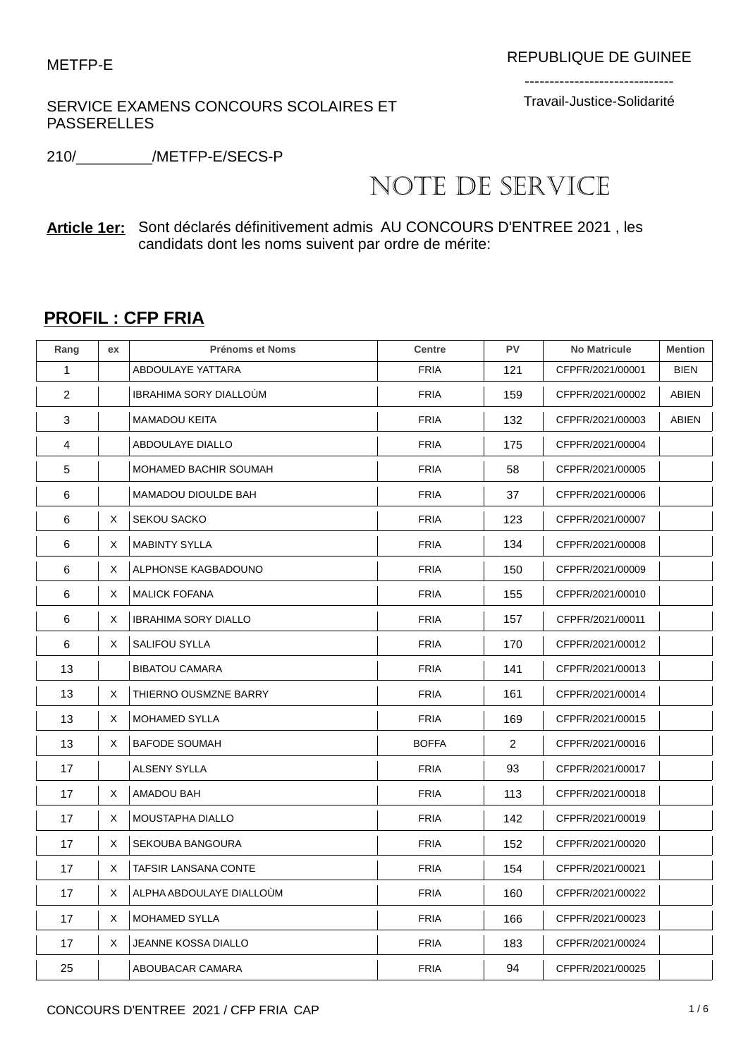SERVICE EXAMENS CONCOURS SCOLAIRES ET PASSERELLES

------------------------------ Travail-Justice-Solidarité

210/\_\_\_\_\_\_\_\_\_/METFP-E/SECS-P

## NOTE DE SERVICE

**Article 1er:** Sont déclarés définitivement admis AU CONCOURS D'ENTREE 2021 , les candidats dont les noms suivent par ordre de mérite:

## **PROFIL : CFP FRIA**

| Rang           | ex | <b>Prénoms et Noms</b>      | <b>Centre</b> | PV             | <b>No Matricule</b> | <b>Mention</b> |
|----------------|----|-----------------------------|---------------|----------------|---------------------|----------------|
| 1              |    | ABDOULAYE YATTARA           | <b>FRIA</b>   | 121            | CFPFR/2021/00001    | <b>BIEN</b>    |
| $\overline{2}$ |    | IBRAHIMA SORY DIALLOÙM      | <b>FRIA</b>   | 159            | CFPFR/2021/00002    | <b>ABIEN</b>   |
| 3              |    | <b>MAMADOU KEITA</b>        | <b>FRIA</b>   | 132            | CFPFR/2021/00003    | <b>ABIEN</b>   |
| 4              |    | ABDOULAYE DIALLO            | <b>FRIA</b>   | 175            | CFPFR/2021/00004    |                |
| 5              |    | MOHAMED BACHIR SOUMAH       | <b>FRIA</b>   | 58             | CFPFR/2021/00005    |                |
| 6              |    | <b>MAMADOU DIOULDE BAH</b>  | <b>FRIA</b>   | 37             | CFPFR/2021/00006    |                |
| 6              | X  | <b>SEKOU SACKO</b>          | <b>FRIA</b>   | 123            | CFPFR/2021/00007    |                |
| 6              | X  | <b>MABINTY SYLLA</b>        | <b>FRIA</b>   | 134            | CFPFR/2021/00008    |                |
| 6              | Χ  | ALPHONSE KAGBADOUNO         | <b>FRIA</b>   | 150            | CFPFR/2021/00009    |                |
| 6              | X  | <b>MALICK FOFANA</b>        | <b>FRIA</b>   | 155            | CFPFR/2021/00010    |                |
| 6              | Χ  | <b>IBRAHIMA SORY DIALLO</b> | <b>FRIA</b>   | 157            | CFPFR/2021/00011    |                |
| 6              | Χ  | <b>SALIFOU SYLLA</b>        | <b>FRIA</b>   | 170            | CFPFR/2021/00012    |                |
| 13             |    | <b>BIBATOU CAMARA</b>       | <b>FRIA</b>   | 141            | CFPFR/2021/00013    |                |
| 13             | X  | THIERNO OUSMZNE BARRY       | <b>FRIA</b>   | 161            | CFPFR/2021/00014    |                |
| 13             | Χ  | <b>MOHAMED SYLLA</b>        | <b>FRIA</b>   | 169            | CFPFR/2021/00015    |                |
| 13             | X  | <b>BAFODE SOUMAH</b>        | <b>BOFFA</b>  | $\overline{2}$ | CFPFR/2021/00016    |                |
| 17             |    | ALSENY SYLLA                | <b>FRIA</b>   | 93             | CFPFR/2021/00017    |                |
| 17             | X  | AMADOU BAH                  | <b>FRIA</b>   | 113            | CFPFR/2021/00018    |                |
| 17             | X  | MOUSTAPHA DIALLO            | <b>FRIA</b>   | 142            | CFPFR/2021/00019    |                |
| 17             | X  | SEKOUBA BANGOURA            | <b>FRIA</b>   | 152            | CFPFR/2021/00020    |                |
| 17             | X  | <b>TAFSIR LANSANA CONTE</b> | <b>FRIA</b>   | 154            | CFPFR/2021/00021    |                |
| 17             | X  | ALPHA ABDOULAYE DIALLOUM    | <b>FRIA</b>   | 160            | CFPFR/2021/00022    |                |
| 17             | Χ  | <b>MOHAMED SYLLA</b>        | <b>FRIA</b>   | 166            | CFPFR/2021/00023    |                |
| 17             | X  | <b>JEANNE KOSSA DIALLO</b>  | <b>FRIA</b>   | 183            | CFPFR/2021/00024    |                |
| 25             |    | ABOUBACAR CAMARA            | <b>FRIA</b>   | 94             | CFPFR/2021/00025    |                |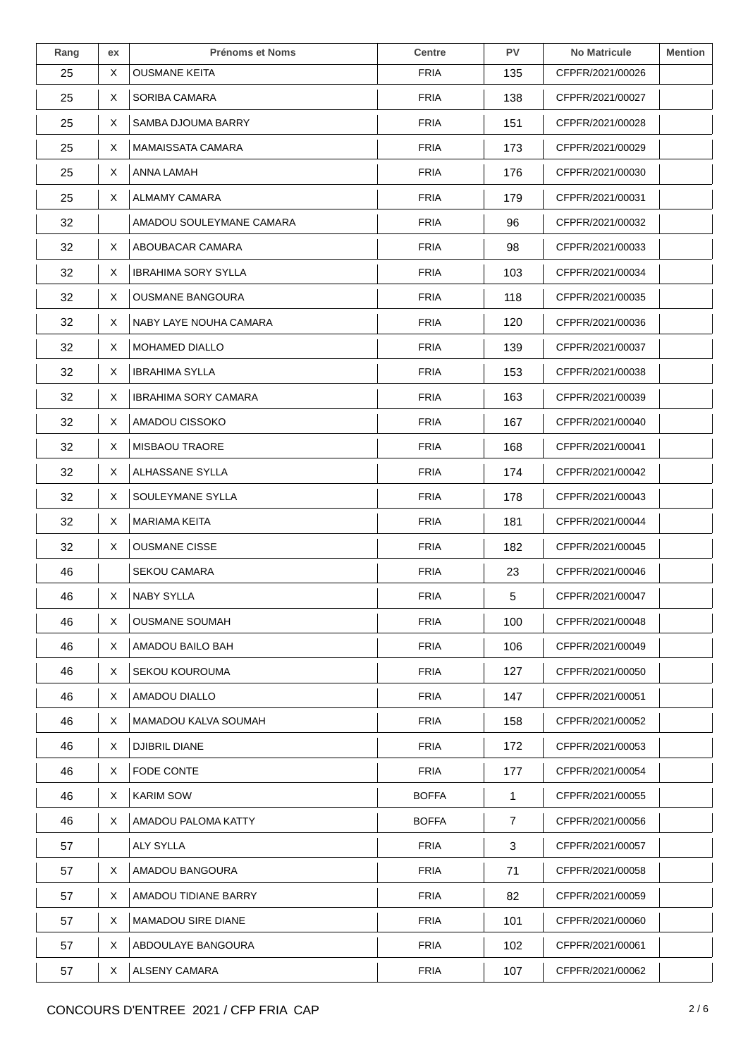| Rang | ex | <b>Prénoms et Noms</b>      | <b>Centre</b> | <b>PV</b>      | <b>No Matricule</b> | <b>Mention</b> |
|------|----|-----------------------------|---------------|----------------|---------------------|----------------|
| 25   | X  | <b>OUSMANE KEITA</b>        | <b>FRIA</b>   | 135            | CFPFR/2021/00026    |                |
| 25   | X  | SORIBA CAMARA               | <b>FRIA</b>   | 138            | CFPFR/2021/00027    |                |
| 25   | X  | SAMBA DJOUMA BARRY          | <b>FRIA</b>   | 151            | CFPFR/2021/00028    |                |
| 25   | X  | MAMAISSATA CAMARA           | <b>FRIA</b>   | 173            | CFPFR/2021/00029    |                |
| 25   | X  | ANNA LAMAH                  | <b>FRIA</b>   | 176            | CFPFR/2021/00030    |                |
| 25   | X  | <b>ALMAMY CAMARA</b>        | <b>FRIA</b>   | 179            | CFPFR/2021/00031    |                |
| 32   |    | AMADOU SOULEYMANE CAMARA    | <b>FRIA</b>   | 96             | CFPFR/2021/00032    |                |
| 32   | X  | ABOUBACAR CAMARA            | <b>FRIA</b>   | 98             | CFPFR/2021/00033    |                |
| 32   | X  | <b>IBRAHIMA SORY SYLLA</b>  | <b>FRIA</b>   | 103            | CFPFR/2021/00034    |                |
| 32   | X  | <b>OUSMANE BANGOURA</b>     | <b>FRIA</b>   | 118            | CFPFR/2021/00035    |                |
| 32   | X  | NABY LAYE NOUHA CAMARA      | <b>FRIA</b>   | 120            | CFPFR/2021/00036    |                |
| 32   | X  | <b>MOHAMED DIALLO</b>       | <b>FRIA</b>   | 139            | CFPFR/2021/00037    |                |
| 32   | X  | <b>IBRAHIMA SYLLA</b>       | <b>FRIA</b>   | 153            | CFPFR/2021/00038    |                |
| 32   | X  | <b>IBRAHIMA SORY CAMARA</b> | <b>FRIA</b>   | 163            | CFPFR/2021/00039    |                |
| 32   | X  | AMADOU CISSOKO              | <b>FRIA</b>   | 167            | CFPFR/2021/00040    |                |
| 32   | Χ  | <b>MISBAOU TRAORE</b>       | <b>FRIA</b>   | 168            | CFPFR/2021/00041    |                |
| 32   | X  | ALHASSANE SYLLA             | <b>FRIA</b>   | 174            | CFPFR/2021/00042    |                |
| 32   | X  | SOULEYMANE SYLLA            | <b>FRIA</b>   | 178            | CFPFR/2021/00043    |                |
| 32   | X  | <b>MARIAMA KEITA</b>        | <b>FRIA</b>   | 181            | CFPFR/2021/00044    |                |
| 32   | X  | <b>OUSMANE CISSE</b>        | <b>FRIA</b>   | 182            | CFPFR/2021/00045    |                |
| 46   |    | <b>SEKOU CAMARA</b>         | <b>FRIA</b>   | 23             | CFPFR/2021/00046    |                |
| 46   | Χ  | <b>NABY SYLLA</b>           | <b>FRIA</b>   | 5              | CFPFR/2021/00047    |                |
| 46   | X  | <b>OUSMANE SOUMAH</b>       | <b>FRIA</b>   | 100            | CFPFR/2021/00048    |                |
| 46   | X  | AMADOU BAILO BAH            | <b>FRIA</b>   | 106            | CFPFR/2021/00049    |                |
| 46   | X  | SEKOU KOUROUMA              | <b>FRIA</b>   | 127            | CFPFR/2021/00050    |                |
| 46   | X  | AMADOU DIALLO               | <b>FRIA</b>   | 147            | CFPFR/2021/00051    |                |
| 46   | X  | MAMADOU KALVA SOUMAH        | <b>FRIA</b>   | 158            | CFPFR/2021/00052    |                |
| 46   | X  | <b>DJIBRIL DIANE</b>        | <b>FRIA</b>   | 172            | CFPFR/2021/00053    |                |
| 46   | X  | FODE CONTE                  | <b>FRIA</b>   | 177            | CFPFR/2021/00054    |                |
| 46   | X  | <b>KARIM SOW</b>            | <b>BOFFA</b>  | $\mathbf{1}$   | CFPFR/2021/00055    |                |
| 46   | X  | AMADOU PALOMA KATTY         | <b>BOFFA</b>  | $\overline{7}$ | CFPFR/2021/00056    |                |
| 57   |    | <b>ALY SYLLA</b>            | <b>FRIA</b>   | 3              | CFPFR/2021/00057    |                |
| 57   | X  | AMADOU BANGOURA             | <b>FRIA</b>   | 71             | CFPFR/2021/00058    |                |
| 57   | X. | AMADOU TIDIANE BARRY        | <b>FRIA</b>   | 82             | CFPFR/2021/00059    |                |
| 57   | X  | <b>MAMADOU SIRE DIANE</b>   | <b>FRIA</b>   | 101            | CFPFR/2021/00060    |                |
| 57   | X  | ABDOULAYE BANGOURA          | <b>FRIA</b>   | 102            | CFPFR/2021/00061    |                |
| 57   | X  | ALSENY CAMARA               | <b>FRIA</b>   | 107            | CFPFR/2021/00062    |                |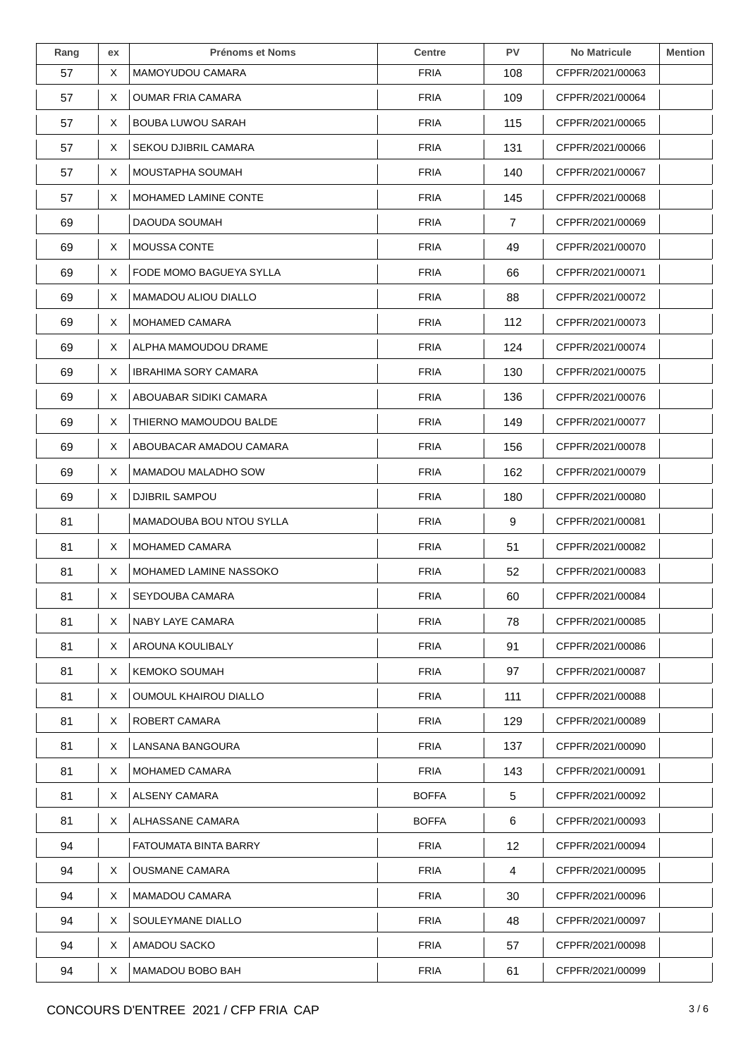| Rang | ex | <b>Prénoms et Noms</b>      | <b>Centre</b> | <b>PV</b> | <b>No Matricule</b> | <b>Mention</b> |
|------|----|-----------------------------|---------------|-----------|---------------------|----------------|
| 57   | X  | MAMOYUDOU CAMARA            | <b>FRIA</b>   | 108       | CFPFR/2021/00063    |                |
| 57   | X  | <b>OUMAR FRIA CAMARA</b>    | <b>FRIA</b>   | 109       | CFPFR/2021/00064    |                |
| 57   | X  | <b>BOUBA LUWOU SARAH</b>    | <b>FRIA</b>   | 115       | CFPFR/2021/00065    |                |
| 57   | X  | <b>SEKOU DJIBRIL CAMARA</b> | <b>FRIA</b>   | 131       | CFPFR/2021/00066    |                |
| 57   | Χ  | MOUSTAPHA SOUMAH            | <b>FRIA</b>   | 140       | CFPFR/2021/00067    |                |
| 57   | Χ  | MOHAMED LAMINE CONTE        | <b>FRIA</b>   | 145       | CFPFR/2021/00068    |                |
| 69   |    | DAOUDA SOUMAH               | <b>FRIA</b>   | 7         | CFPFR/2021/00069    |                |
| 69   | X  | MOUSSA CONTE                | <b>FRIA</b>   | 49        | CFPFR/2021/00070    |                |
| 69   | Χ  | FODE MOMO BAGUEYA SYLLA     | <b>FRIA</b>   | 66        | CFPFR/2021/00071    |                |
| 69   | X  | <b>MAMADOU ALIOU DIALLO</b> | <b>FRIA</b>   | 88        | CFPFR/2021/00072    |                |
| 69   | Χ  | MOHAMED CAMARA              | <b>FRIA</b>   | 112       | CFPFR/2021/00073    |                |
| 69   | X  | ALPHA MAMOUDOU DRAME        | <b>FRIA</b>   | 124       | CFPFR/2021/00074    |                |
| 69   | X  | <b>IBRAHIMA SORY CAMARA</b> | <b>FRIA</b>   | 130       | CFPFR/2021/00075    |                |
| 69   | X  | ABOUABAR SIDIKI CAMARA      | <b>FRIA</b>   | 136       | CFPFR/2021/00076    |                |
| 69   | X  | THIERNO MAMOUDOU BALDE      | <b>FRIA</b>   | 149       | CFPFR/2021/00077    |                |
| 69   | Χ  | ABOUBACAR AMADOU CAMARA     | <b>FRIA</b>   | 156       | CFPFR/2021/00078    |                |
| 69   | X  | MAMADOU MALADHO SOW         | <b>FRIA</b>   | 162       | CFPFR/2021/00079    |                |
| 69   | X  | DJIBRIL SAMPOU              | <b>FRIA</b>   | 180       | CFPFR/2021/00080    |                |
| 81   |    | MAMADOUBA BOU NTOU SYLLA    | <b>FRIA</b>   | 9         | CFPFR/2021/00081    |                |
| 81   | Χ  | <b>MOHAMED CAMARA</b>       | <b>FRIA</b>   | 51        | CFPFR/2021/00082    |                |
| 81   | X  | MOHAMED LAMINE NASSOKO      | <b>FRIA</b>   | 52        | CFPFR/2021/00083    |                |
| 81   | Χ  | <b>SEYDOUBA CAMARA</b>      | <b>FRIA</b>   | 60        | CFPFR/2021/00084    |                |
| 81   | X  | NABY LAYE CAMARA            | <b>FRIA</b>   | 78        | CFPFR/2021/00085    |                |
| 81   | X  | AROUNA KOULIBALY            | <b>FRIA</b>   | 91        | CFPFR/2021/00086    |                |
| 81   | X  | <b>KEMOKO SOUMAH</b>        | <b>FRIA</b>   | 97        | CFPFR/2021/00087    |                |
| 81   | X  | OUMOUL KHAIROU DIALLO       | <b>FRIA</b>   | 111       | CFPFR/2021/00088    |                |
| 81   | X  | ROBERT CAMARA               | <b>FRIA</b>   | 129       | CFPFR/2021/00089    |                |
| 81   | X  | LANSANA BANGOURA            | <b>FRIA</b>   | 137       | CFPFR/2021/00090    |                |
| 81   | X  | <b>MOHAMED CAMARA</b>       | <b>FRIA</b>   | 143       | CFPFR/2021/00091    |                |
| 81   | X. | ALSENY CAMARA               | <b>BOFFA</b>  | 5         | CFPFR/2021/00092    |                |
| 81   | X. | ALHASSANE CAMARA            | <b>BOFFA</b>  | 6         | CFPFR/2021/00093    |                |
| 94   |    | FATOUMATA BINTA BARRY       | <b>FRIA</b>   | 12        | CFPFR/2021/00094    |                |
| 94   | X  | <b>OUSMANE CAMARA</b>       | <b>FRIA</b>   | 4         | CFPFR/2021/00095    |                |
| 94   | X. | <b>MAMADOU CAMARA</b>       | <b>FRIA</b>   | 30        | CFPFR/2021/00096    |                |
| 94   | X  | SOULEYMANE DIALLO           | <b>FRIA</b>   | 48        | CFPFR/2021/00097    |                |
| 94   | X  | AMADOU SACKO                | <b>FRIA</b>   | 57        | CFPFR/2021/00098    |                |
| 94   | X  | MAMADOU BOBO BAH            | <b>FRIA</b>   | 61        | CFPFR/2021/00099    |                |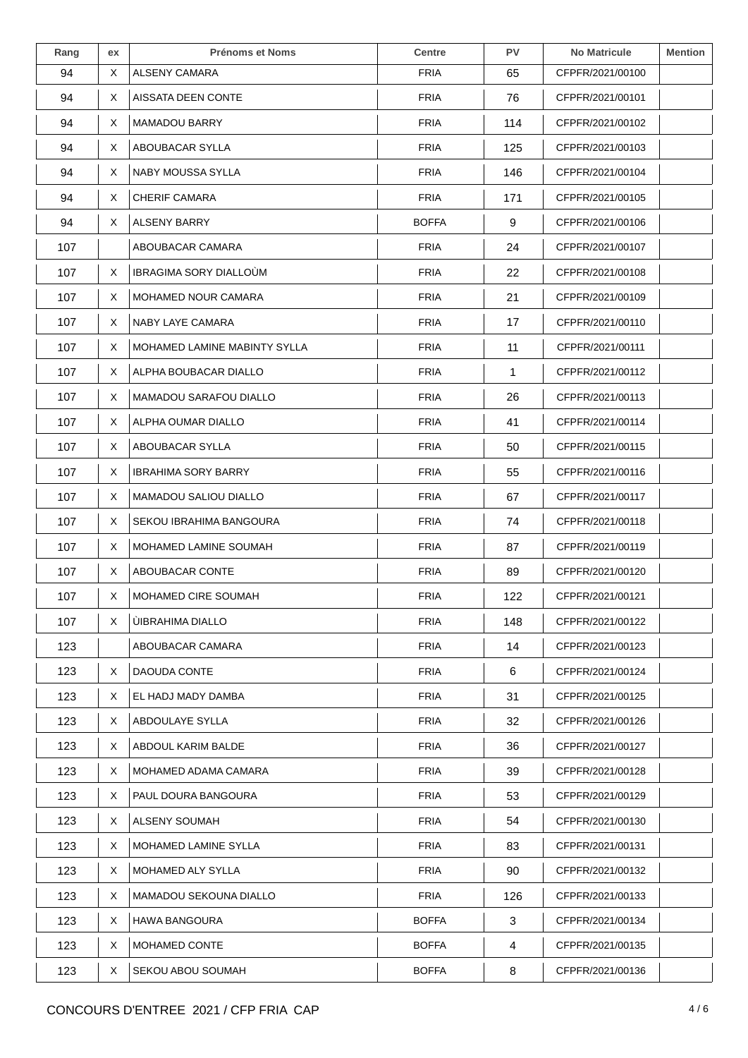| Rang | ex | <b>Prénoms et Noms</b>        | <b>Centre</b> | <b>PV</b>    | <b>No Matricule</b> | <b>Mention</b> |
|------|----|-------------------------------|---------------|--------------|---------------------|----------------|
| 94   | X  | ALSENY CAMARA                 | <b>FRIA</b>   | 65           | CFPFR/2021/00100    |                |
| 94   | X  | AISSATA DEEN CONTE            | <b>FRIA</b>   | 76           | CFPFR/2021/00101    |                |
| 94   | Χ  | <b>MAMADOU BARRY</b>          | <b>FRIA</b>   | 114          | CFPFR/2021/00102    |                |
| 94   | X  | ABOUBACAR SYLLA               | <b>FRIA</b>   | 125          | CFPFR/2021/00103    |                |
| 94   | X  | <b>NABY MOUSSA SYLLA</b>      | <b>FRIA</b>   | 146          | CFPFR/2021/00104    |                |
| 94   | Χ  | <b>CHERIF CAMARA</b>          | <b>FRIA</b>   | 171          | CFPFR/2021/00105    |                |
| 94   | X. | ALSENY BARRY                  | <b>BOFFA</b>  | 9            | CFPFR/2021/00106    |                |
| 107  |    | ABOUBACAR CAMARA              | <b>FRIA</b>   | 24           | CFPFR/2021/00107    |                |
| 107  | X  | <b>IBRAGIMA SORY DIALLOUM</b> | <b>FRIA</b>   | 22           | CFPFR/2021/00108    |                |
| 107  | X  | <b>MOHAMED NOUR CAMARA</b>    | <b>FRIA</b>   | 21           | CFPFR/2021/00109    |                |
| 107  | Χ  | NABY LAYE CAMARA              | <b>FRIA</b>   | 17           | CFPFR/2021/00110    |                |
| 107  | X  | MOHAMED LAMINE MABINTY SYLLA  | <b>FRIA</b>   | 11           | CFPFR/2021/00111    |                |
| 107  | X  | ALPHA BOUBACAR DIALLO         | <b>FRIA</b>   | $\mathbf{1}$ | CFPFR/2021/00112    |                |
| 107  | X  | MAMADOU SARAFOU DIALLO        | <b>FRIA</b>   | 26           | CFPFR/2021/00113    |                |
| 107  | X  | ALPHA OUMAR DIALLO            | <b>FRIA</b>   | 41           | CFPFR/2021/00114    |                |
| 107  | Χ  | ABOUBACAR SYLLA               | <b>FRIA</b>   | 50           | CFPFR/2021/00115    |                |
| 107  | X  | <b>IBRAHIMA SORY BARRY</b>    | <b>FRIA</b>   | 55           | CFPFR/2021/00116    |                |
| 107  | X  | <b>MAMADOU SALIOU DIALLO</b>  | <b>FRIA</b>   | 67           | CFPFR/2021/00117    |                |
| 107  | X  | SEKOU IBRAHIMA BANGOURA       | <b>FRIA</b>   | 74           | CFPFR/2021/00118    |                |
| 107  | X  | MOHAMED LAMINE SOUMAH         | <b>FRIA</b>   | 87           | CFPFR/2021/00119    |                |
| 107  | X  | ABOUBACAR CONTE               | <b>FRIA</b>   | 89           | CFPFR/2021/00120    |                |
| 107  | Χ  | MOHAMED CIRE SOUMAH           | <b>FRIA</b>   | 122          | CFPFR/2021/00121    |                |
| 107  | X. | <b>UIBRAHIMA DIALLO</b>       | <b>FRIA</b>   | 148          | CFPFR/2021/00122    |                |
| 123  |    | ABOUBACAR CAMARA              | <b>FRIA</b>   | 14           | CFPFR/2021/00123    |                |
| 123  | X  | DAOUDA CONTE                  | <b>FRIA</b>   | 6            | CFPFR/2021/00124    |                |
| 123  | X  | EL HADJ MADY DAMBA            | <b>FRIA</b>   | 31           | CFPFR/2021/00125    |                |
| 123  | X  | ABDOULAYE SYLLA               | <b>FRIA</b>   | 32           | CFPFR/2021/00126    |                |
| 123  | X  | ABDOUL KARIM BALDE            | <b>FRIA</b>   | 36           | CFPFR/2021/00127    |                |
| 123  | X  | MOHAMED ADAMA CAMARA          | <b>FRIA</b>   | 39           | CFPFR/2021/00128    |                |
| 123  | X. | PAUL DOURA BANGOURA           | <b>FRIA</b>   | 53           | CFPFR/2021/00129    |                |
| 123  | X. | ALSENY SOUMAH                 | <b>FRIA</b>   | 54           | CFPFR/2021/00130    |                |
| 123  | X  | MOHAMED LAMINE SYLLA          | <b>FRIA</b>   | 83           | CFPFR/2021/00131    |                |
| 123  | X  | MOHAMED ALY SYLLA             | <b>FRIA</b>   | 90           | CFPFR/2021/00132    |                |
| 123  | X. | MAMADOU SEKOUNA DIALLO        | <b>FRIA</b>   | 126          | CFPFR/2021/00133    |                |
| 123  | X  | <b>HAWA BANGOURA</b>          | <b>BOFFA</b>  | 3            | CFPFR/2021/00134    |                |
| 123  | X  | MOHAMED CONTE                 | <b>BOFFA</b>  | 4            | CFPFR/2021/00135    |                |
| 123  | X  | SEKOU ABOU SOUMAH             | <b>BOFFA</b>  | 8            | CFPFR/2021/00136    |                |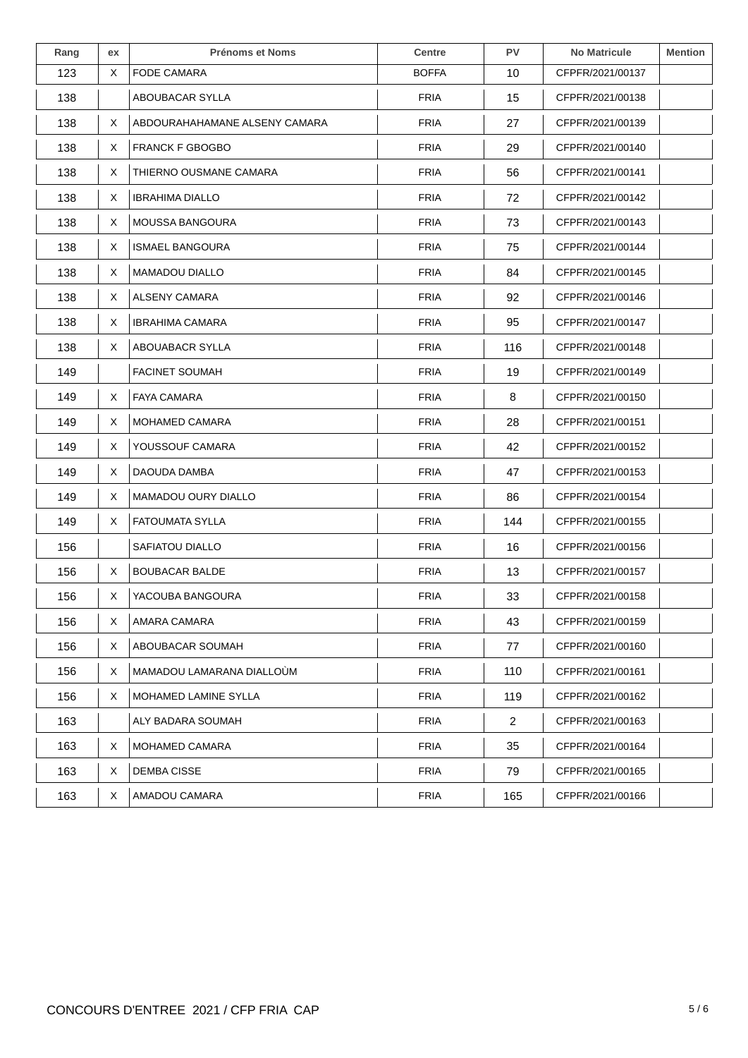| Rang | ex | <b>Prénoms et Noms</b>        | <b>Centre</b> | <b>PV</b>      | <b>No Matricule</b> | <b>Mention</b> |
|------|----|-------------------------------|---------------|----------------|---------------------|----------------|
| 123  | X  | <b>FODE CAMARA</b>            | <b>BOFFA</b>  | 10             | CFPFR/2021/00137    |                |
| 138  |    | ABOUBACAR SYLLA               | <b>FRIA</b>   | 15             | CFPFR/2021/00138    |                |
| 138  | Χ  | ABDOURAHAHAMANE ALSENY CAMARA | <b>FRIA</b>   | 27             | CFPFR/2021/00139    |                |
| 138  | X  | <b>FRANCK F GBOGBO</b>        | <b>FRIA</b>   | 29             | CFPFR/2021/00140    |                |
| 138  | X  | THIERNO OUSMANE CAMARA        | <b>FRIA</b>   | 56             | CFPFR/2021/00141    |                |
| 138  | X  | <b>IBRAHIMA DIALLO</b>        | <b>FRIA</b>   | 72             | CFPFR/2021/00142    |                |
| 138  | X  | <b>MOUSSA BANGOURA</b>        | <b>FRIA</b>   | 73             | CFPFR/2021/00143    |                |
| 138  | Χ  | <b>ISMAEL BANGOURA</b>        | <b>FRIA</b>   | 75             | CFPFR/2021/00144    |                |
| 138  | Χ  | <b>MAMADOU DIALLO</b>         | <b>FRIA</b>   | 84             | CFPFR/2021/00145    |                |
| 138  | X  | ALSENY CAMARA                 | <b>FRIA</b>   | 92             | CFPFR/2021/00146    |                |
| 138  | X  | <b>IBRAHIMA CAMARA</b>        | <b>FRIA</b>   | 95             | CFPFR/2021/00147    |                |
| 138  | X  | ABOUABACR SYLLA               | <b>FRIA</b>   | 116            | CFPFR/2021/00148    |                |
| 149  |    | <b>FACINET SOUMAH</b>         | <b>FRIA</b>   | 19             | CFPFR/2021/00149    |                |
| 149  | X  | <b>FAYA CAMARA</b>            | <b>FRIA</b>   | 8              | CFPFR/2021/00150    |                |
| 149  | Χ  | <b>MOHAMED CAMARA</b>         | <b>FRIA</b>   | 28             | CFPFR/2021/00151    |                |
| 149  | X  | YOUSSOUF CAMARA               | <b>FRIA</b>   | 42             | CFPFR/2021/00152    |                |
| 149  | X  | DAOUDA DAMBA                  | <b>FRIA</b>   | 47             | CFPFR/2021/00153    |                |
| 149  | X  | MAMADOU OURY DIALLO           | <b>FRIA</b>   | 86             | CFPFR/2021/00154    |                |
| 149  | X  | <b>FATOUMATA SYLLA</b>        | <b>FRIA</b>   | 144            | CFPFR/2021/00155    |                |
| 156  |    | SAFIATOU DIALLO               | <b>FRIA</b>   | 16             | CFPFR/2021/00156    |                |
| 156  | Χ  | <b>BOUBACAR BALDE</b>         | <b>FRIA</b>   | 13             | CFPFR/2021/00157    |                |
| 156  | X  | YACOUBA BANGOURA              | <b>FRIA</b>   | 33             | CFPFR/2021/00158    |                |
| 156  | X  | AMARA CAMARA                  | <b>FRIA</b>   | 43             | CFPFR/2021/00159    |                |
| 156  | X  | ABOUBACAR SOUMAH              | <b>FRIA</b>   | 77             | CFPFR/2021/00160    |                |
| 156  | X  | MAMADOU LAMARANA DIALLOÙM     | <b>FRIA</b>   | 110            | CFPFR/2021/00161    |                |
| 156  | X  | MOHAMED LAMINE SYLLA          | <b>FRIA</b>   | 119            | CFPFR/2021/00162    |                |
| 163  |    | ALY BADARA SOUMAH             | <b>FRIA</b>   | $\overline{2}$ | CFPFR/2021/00163    |                |
| 163  | X  | MOHAMED CAMARA                | <b>FRIA</b>   | 35             | CFPFR/2021/00164    |                |
| 163  | X  | <b>DEMBA CISSE</b>            | <b>FRIA</b>   | 79             | CFPFR/2021/00165    |                |
| 163  | X  | AMADOU CAMARA                 | <b>FRIA</b>   | 165            | CFPFR/2021/00166    |                |